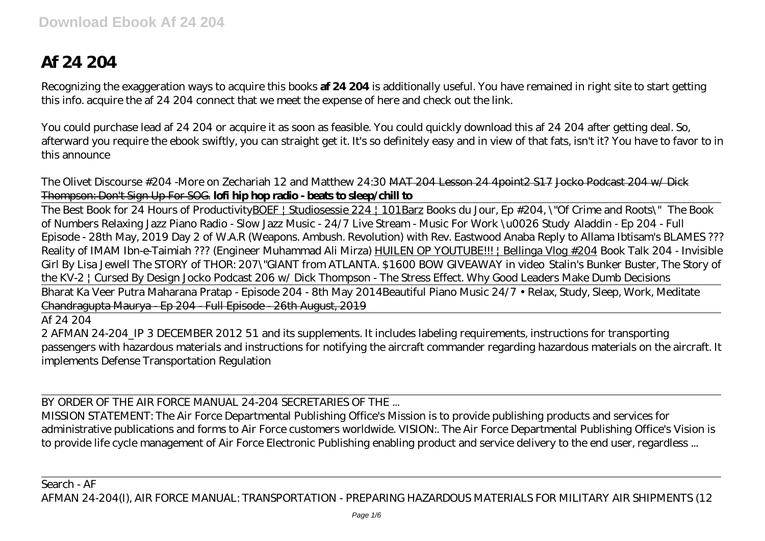## **Af 24 204**

Recognizing the exaggeration ways to acquire this books **af 24 204** is additionally useful. You have remained in right site to start getting this info. acquire the af 24 204 connect that we meet the expense of here and check out the link.

You could purchase lead af 24 204 or acquire it as soon as feasible. You could quickly download this af 24 204 after getting deal. So, afterward you require the ebook swiftly, you can straight get it. It's so definitely easy and in view of that fats, isn't it? You have to favor to in this announce

The Olivet Discourse #204 -More on Zechariah 12 and Matthew 24:30 MAT 204 Lesson 24 4point2 S17 Jocko Podcast 204 w/ Dick Thompson: Don't Sign Up For SOG. **lofi hip hop radio - beats to sleep/chill to**

The Best Book for 24 Hours of ProductivityBOEF | Studiosessie 224 | 101Barz *Books du Jour, Ep #204, \"Of Crime and Roots\" The Book of Numbers Relaxing Jazz Piano Radio - Slow Jazz Music - 24/7 Live Stream - Music For Work \u0026 Study Aladdin - Ep 204 - Full Episode - 28th May, 2019 Day 2 of W.A.R (Weapons. Ambush. Revolution) with Rev. Eastwood Anaba Reply to Allama Ibtisam's BLAMES ??? Reality of IMAM Ibn-e-Taimiah ??? (Engineer Muhammad Ali Mirza)* HUILEN OP YOUTUBE!!! | Bellinga Vlog #204 *Book Talk 204 - Invisible Girl By Lisa Jewell The STORY of THOR: 207\"GIANT from ATLANTA. \$1600 BOW GIVEAWAY in video* Stalin's Bunker Buster, The Story of the KV-2 | Cursed By Design *Jocko Podcast 206 w/ Dick Thompson - The Stress Effect. Why Good Leaders Make Dumb Decisions*

Bharat Ka Veer Putra Maharana Pratap - Episode 204 - 8th May 2014*Beautiful Piano Music 24/7 • Relax, Study, Sleep, Work, Meditate* Chandragupta Maurya - Ep 204 - Full Episode - 26th August, 2019

Af 24 204

2 AFMAN 24-204\_IP 3 DECEMBER 2012 51 and its supplements. It includes labeling requirements, instructions for transporting passengers with hazardous materials and instructions for notifying the aircraft commander regarding hazardous materials on the aircraft. It implements Defense Transportation Regulation

BY ORDER OF THE AIR FORCE MANUAL 24-204 SECRETARIES OF THE

MISSION STATEMENT: The Air Force Departmental Publishing Office's Mission is to provide publishing products and services for administrative publications and forms to Air Force customers worldwide. VISION:. The Air Force Departmental Publishing Office's Vision is to provide life cycle management of Air Force Electronic Publishing enabling product and service delivery to the end user, regardless ...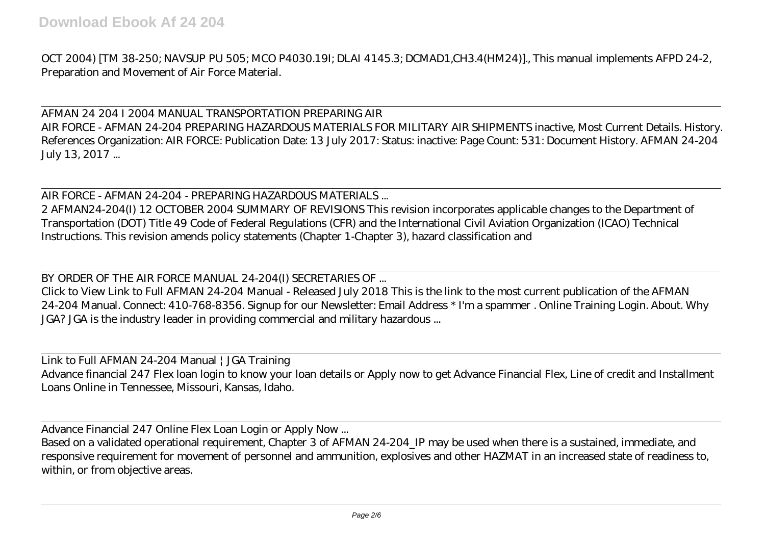OCT 2004) [TM 38-250; NAVSUP PU 505; MCO P4030.19I; DLAI 4145.3; DCMAD1,CH3.4(HM24)]., This manual implements AFPD 24-2, Preparation and Movement of Air Force Material.

AFMAN 24 204 I 2004 MANUAL TRANSPORTATION PREPARING AIR AIR FORCE - AFMAN 24-204 PREPARING HAZARDOUS MATERIALS FOR MILITARY AIR SHIPMENTS inactive, Most Current Details. History. References Organization: AIR FORCE: Publication Date: 13 July 2017: Status: inactive: Page Count: 531: Document History. AFMAN 24-204 July 13, 2017 ...

AIR FORCE - AFMAN 24-204 - PREPARING HAZARDOUS MATERIALS ...

2 AFMAN24-204(I) 12 OCTOBER 2004 SUMMARY OF REVISIONS This revision incorporates applicable changes to the Department of Transportation (DOT) Title 49 Code of Federal Regulations (CFR) and the International Civil Aviation Organization (ICAO) Technical Instructions. This revision amends policy statements (Chapter 1-Chapter 3), hazard classification and

BY ORDER OF THE AIR FORCE MANUAL 24-204(I) SECRETARIES OF ...

Click to View Link to Full AFMAN 24-204 Manual - Released July 2018 This is the link to the most current publication of the AFMAN 24-204 Manual. Connect: 410-768-8356. Signup for our Newsletter: Email Address \* I'm a spammer . Online Training Login. About. Why JGA? JGA is the industry leader in providing commercial and military hazardous ...

Link to Full AFMAN 24-204 Manual | JGA Training Advance financial 247 Flex loan login to know your loan details or Apply now to get Advance Financial Flex, Line of credit and Installment Loans Online in Tennessee, Missouri, Kansas, Idaho.

Advance Financial 247 Online Flex Loan Login or Apply Now ...

Based on a validated operational requirement, Chapter 3 of AFMAN 24-204\_IP may be used when there is a sustained, immediate, and responsive requirement for movement of personnel and ammunition, explosives and other HAZMAT in an increased state of readiness to, within, or from objective areas.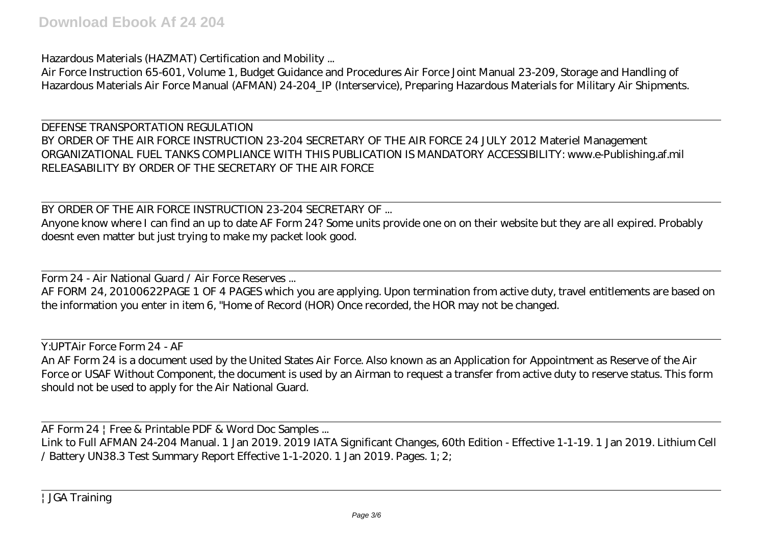Hazardous Materials (HAZMAT) Certification and Mobility ...

Air Force Instruction 65-601, Volume 1, Budget Guidance and Procedures Air Force Joint Manual 23-209, Storage and Handling of Hazardous Materials Air Force Manual (AFMAN) 24-204\_IP (Interservice), Preparing Hazardous Materials for Military Air Shipments.

DEFENSE TRANSPORTATION REGULATION BY ORDER OF THE AIR FORCE INSTRUCTION 23-204 SECRETARY OF THE AIR FORCE 24 JULY 2012 Materiel Management ORGANIZATIONAL FUEL TANKS COMPLIANCE WITH THIS PUBLICATION IS MANDATORY ACCESSIBILITY: www.e-Publishing.af.mil RELEASABILITY BY ORDER OF THE SECRETARY OF THE AIR FORCE

BY ORDER OF THE AIR FORCE INSTRUCTION 23-204 SECRETARY OF ...

Anyone know where I can find an up to date AF Form 24? Some units provide one on on their website but they are all expired. Probably doesnt even matter but just trying to make my packet look good.

Form 24 - Air National Guard / Air Force Reserves ...

AF FORM 24, 20100622PAGE 1 OF 4 PAGES which you are applying. Upon termination from active duty, travel entitlements are based on the information you enter in item 6, "Home of Record (HOR) Once recorded, the HOR may not be changed.

Y:UPTAir Force Form 24 - AF An AF Form 24 is a document used by the United States Air Force. Also known as an Application for Appointment as Reserve of the Air Force or USAF Without Component, the document is used by an Airman to request a transfer from active duty to reserve status. This form should not be used to apply for the Air National Guard.

AF Form 24 | Free & Printable PDF & Word Doc Samples ...

Link to Full AFMAN 24-204 Manual. 1 Jan 2019. 2019 IATA Significant Changes, 60th Edition - Effective 1-1-19. 1 Jan 2019. Lithium Cell / Battery UN38.3 Test Summary Report Effective 1-1-2020. 1 Jan 2019. Pages. 1; 2;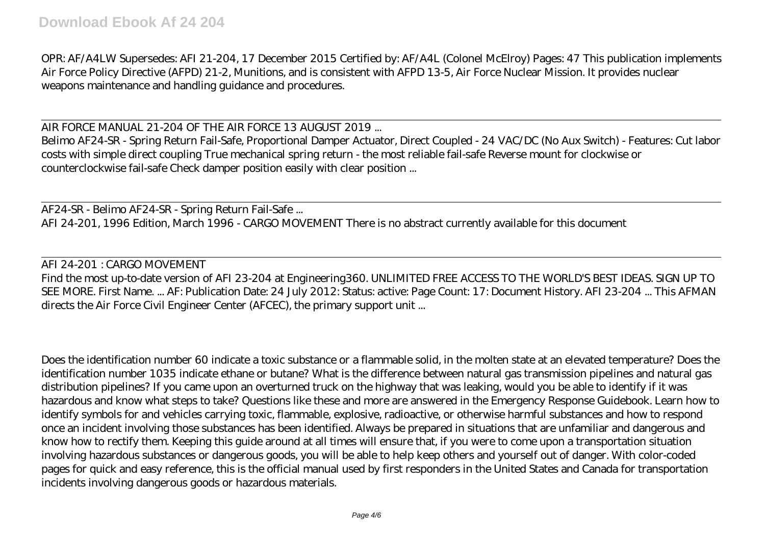OPR: AF/A4LW Supersedes: AFI 21-204, 17 December 2015 Certified by: AF/A4L (Colonel McElroy) Pages: 47 This publication implements Air Force Policy Directive (AFPD) 21-2, Munitions, and is consistent with AFPD 13-5, Air Force Nuclear Mission. It provides nuclear weapons maintenance and handling guidance and procedures.

AIR FORCE MANUAL 21-204 OF THE AIR FORCE 13 AUGUST 2019 ...

Belimo AF24-SR - Spring Return Fail-Safe, Proportional Damper Actuator, Direct Coupled - 24 VAC/DC (No Aux Switch) - Features: Cut labor costs with simple direct coupling True mechanical spring return - the most reliable fail-safe Reverse mount for clockwise or counterclockwise fail-safe Check damper position easily with clear position ...

AF24-SR - Belimo AF24-SR - Spring Return Fail-Safe ... AFI 24-201, 1996 Edition, March 1996 - CARGO MOVEMENT There is no abstract currently available for this document

AFI 24-201 : CARGO MOVEMENT

Find the most up-to-date version of AFI 23-204 at Engineering360. UNLIMITED FREE ACCESS TO THE WORLD'S BEST IDEAS. SIGN UP TO SEE MORE. First Name. ... AF: Publication Date: 24 July 2012: Status: active: Page Count: 17: Document History. AFI 23-204 ... This AFMAN directs the Air Force Civil Engineer Center (AFCEC), the primary support unit ...

Does the identification number 60 indicate a toxic substance or a flammable solid, in the molten state at an elevated temperature? Does the identification number 1035 indicate ethane or butane? What is the difference between natural gas transmission pipelines and natural gas distribution pipelines? If you came upon an overturned truck on the highway that was leaking, would you be able to identify if it was hazardous and know what steps to take? Questions like these and more are answered in the Emergency Response Guidebook. Learn how to identify symbols for and vehicles carrying toxic, flammable, explosive, radioactive, or otherwise harmful substances and how to respond once an incident involving those substances has been identified. Always be prepared in situations that are unfamiliar and dangerous and know how to rectify them. Keeping this guide around at all times will ensure that, if you were to come upon a transportation situation involving hazardous substances or dangerous goods, you will be able to help keep others and yourself out of danger. With color-coded pages for quick and easy reference, this is the official manual used by first responders in the United States and Canada for transportation incidents involving dangerous goods or hazardous materials.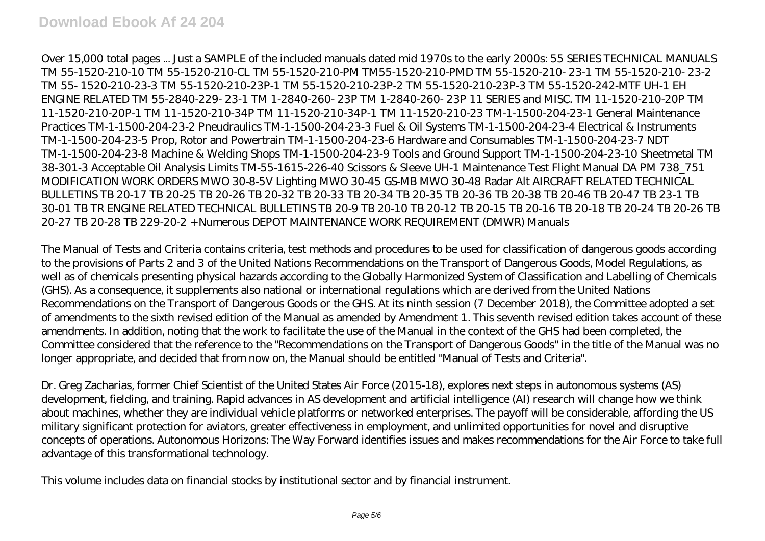Over 15,000 total pages ... Just a SAMPLE of the included manuals dated mid 1970s to the early 2000s: 55 SERIES TECHNICAL MANUALS TM 55-1520-210-10 TM 55-1520-210-CL TM 55-1520-210-PM TM55-1520-210-PMD TM 55-1520-210- 23-1 TM 55-1520-210- 23-2 TM 55- 1520-210-23-3 TM 55-1520-210-23P-1 TM 55-1520-210-23P-2 TM 55-1520-210-23P-3 TM 55-1520-242-MTF UH-1 EH ENGINE RELATED TM 55-2840-229- 23-1 TM 1-2840-260- 23P TM 1-2840-260- 23P 11 SERIES and MISC. TM 11-1520-210-20P TM 11-1520-210-20P-1 TM 11-1520-210-34P TM 11-1520-210-34P-1 TM 11-1520-210-23 TM-1-1500-204-23-1 General Maintenance Practices TM-1-1500-204-23-2 Pneudraulics TM-1-1500-204-23-3 Fuel & Oil Systems TM-1-1500-204-23-4 Electrical & Instruments TM-1-1500-204-23-5 Prop, Rotor and Powertrain TM-1-1500-204-23-6 Hardware and Consumables TM-1-1500-204-23-7 NDT TM-1-1500-204-23-8 Machine & Welding Shops TM-1-1500-204-23-9 Tools and Ground Support TM-1-1500-204-23-10 Sheetmetal TM 38-301-3 Acceptable Oil Analysis Limits TM-55-1615-226-40 Scissors & Sleeve UH-1 Maintenance Test Flight Manual DA PM 738\_751 MODIFICATION WORK ORDERS MWO 30-8-5V Lighting MWO 30-45 GS-MB MWO 30-48 Radar Alt AIRCRAFT RELATED TECHNICAL BULLETINS TB 20-17 TB 20-25 TB 20-26 TB 20-32 TB 20-33 TB 20-34 TB 20-35 TB 20-36 TB 20-38 TB 20-46 TB 20-47 TB 23-1 TB 30-01 TB TR ENGINE RELATED TECHNICAL BULLETINS TB 20-9 TB 20-10 TB 20-12 TB 20-15 TB 20-16 TB 20-18 TB 20-24 TB 20-26 TB 20-27 TB 20-28 TB 229-20-2 + Numerous DEPOT MAINTENANCE WORK REQUIREMENT (DMWR) Manuals

The Manual of Tests and Criteria contains criteria, test methods and procedures to be used for classification of dangerous goods according to the provisions of Parts 2 and 3 of the United Nations Recommendations on the Transport of Dangerous Goods, Model Regulations, as well as of chemicals presenting physical hazards according to the Globally Harmonized System of Classification and Labelling of Chemicals (GHS). As a consequence, it supplements also national or international regulations which are derived from the United Nations Recommendations on the Transport of Dangerous Goods or the GHS. At its ninth session (7 December 2018), the Committee adopted a set of amendments to the sixth revised edition of the Manual as amended by Amendment 1. This seventh revised edition takes account of these amendments. In addition, noting that the work to facilitate the use of the Manual in the context of the GHS had been completed, the Committee considered that the reference to the "Recommendations on the Transport of Dangerous Goods" in the title of the Manual was no longer appropriate, and decided that from now on, the Manual should be entitled "Manual of Tests and Criteria".

Dr. Greg Zacharias, former Chief Scientist of the United States Air Force (2015-18), explores next steps in autonomous systems (AS) development, fielding, and training. Rapid advances in AS development and artificial intelligence (AI) research will change how we think about machines, whether they are individual vehicle platforms or networked enterprises. The payoff will be considerable, affording the US military significant protection for aviators, greater effectiveness in employment, and unlimited opportunities for novel and disruptive concepts of operations. Autonomous Horizons: The Way Forward identifies issues and makes recommendations for the Air Force to take full advantage of this transformational technology.

This volume includes data on financial stocks by institutional sector and by financial instrument.